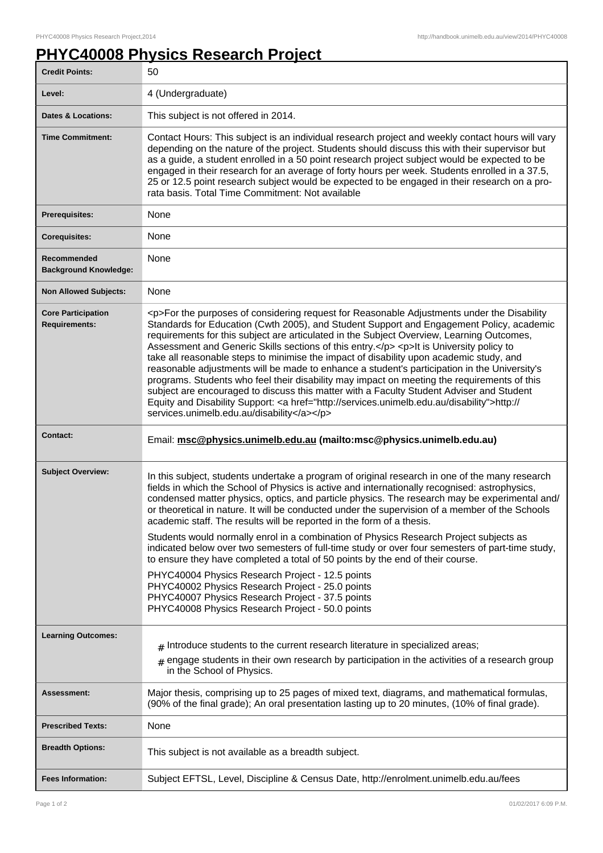## **PHYC40008 Physics Research Project**

| <b>Credit Points:</b>                             | 50                                                                                                                                                                                                                                                                                                                                                                                                                                                                                                                                                                                                                                                                                                                                                                                                                                                                                                                           |
|---------------------------------------------------|------------------------------------------------------------------------------------------------------------------------------------------------------------------------------------------------------------------------------------------------------------------------------------------------------------------------------------------------------------------------------------------------------------------------------------------------------------------------------------------------------------------------------------------------------------------------------------------------------------------------------------------------------------------------------------------------------------------------------------------------------------------------------------------------------------------------------------------------------------------------------------------------------------------------------|
| Level:                                            | 4 (Undergraduate)                                                                                                                                                                                                                                                                                                                                                                                                                                                                                                                                                                                                                                                                                                                                                                                                                                                                                                            |
| <b>Dates &amp; Locations:</b>                     | This subject is not offered in 2014.                                                                                                                                                                                                                                                                                                                                                                                                                                                                                                                                                                                                                                                                                                                                                                                                                                                                                         |
| <b>Time Commitment:</b>                           | Contact Hours: This subject is an individual research project and weekly contact hours will vary<br>depending on the nature of the project. Students should discuss this with their supervisor but<br>as a guide, a student enrolled in a 50 point research project subject would be expected to be<br>engaged in their research for an average of forty hours per week. Students enrolled in a 37.5,<br>25 or 12.5 point research subject would be expected to be engaged in their research on a pro-<br>rata basis. Total Time Commitment: Not available                                                                                                                                                                                                                                                                                                                                                                   |
| <b>Prerequisites:</b>                             | None                                                                                                                                                                                                                                                                                                                                                                                                                                                                                                                                                                                                                                                                                                                                                                                                                                                                                                                         |
| <b>Corequisites:</b>                              | None                                                                                                                                                                                                                                                                                                                                                                                                                                                                                                                                                                                                                                                                                                                                                                                                                                                                                                                         |
| Recommended<br><b>Background Knowledge:</b>       | None                                                                                                                                                                                                                                                                                                                                                                                                                                                                                                                                                                                                                                                                                                                                                                                                                                                                                                                         |
| <b>Non Allowed Subjects:</b>                      | None                                                                                                                                                                                                                                                                                                                                                                                                                                                                                                                                                                                                                                                                                                                                                                                                                                                                                                                         |
| <b>Core Participation</b><br><b>Requirements:</b> | <p>For the purposes of considering request for Reasonable Adjustments under the Disability<br/>Standards for Education (Cwth 2005), and Student Support and Engagement Policy, academic<br/>requirements for this subject are articulated in the Subject Overview, Learning Outcomes,<br/>Assessment and Generic Skills sections of this entry.</p> <p>lt is University policy to<br/>take all reasonable steps to minimise the impact of disability upon academic study, and<br/>reasonable adjustments will be made to enhance a student's participation in the University's<br/>programs. Students who feel their disability may impact on meeting the requirements of this<br/>subject are encouraged to discuss this matter with a Faculty Student Adviser and Student<br/>Equity and Disability Support: &lt; a href="http://services.unimelb.edu.au/disability"&gt;http://<br/>services.unimelb.edu.au/disability</p> |
|                                                   |                                                                                                                                                                                                                                                                                                                                                                                                                                                                                                                                                                                                                                                                                                                                                                                                                                                                                                                              |
| <b>Contact:</b>                                   | Email: msc@physics.unimelb.edu.au (mailto:msc@physics.unimelb.edu.au)                                                                                                                                                                                                                                                                                                                                                                                                                                                                                                                                                                                                                                                                                                                                                                                                                                                        |
| <b>Subject Overview:</b>                          | In this subject, students undertake a program of original research in one of the many research<br>fields in which the School of Physics is active and internationally recognised: astrophysics,<br>condensed matter physics, optics, and particle physics. The research may be experimental and/<br>or theoretical in nature. It will be conducted under the supervision of a member of the Schools<br>academic staff. The results will be reported in the form of a thesis.<br>Students would normally enrol in a combination of Physics Research Project subjects as                                                                                                                                                                                                                                                                                                                                                       |
|                                                   | indicated below over two semesters of full-time study or over four semesters of part-time study,<br>to ensure they have completed a total of 50 points by the end of their course.<br>PHYC40004 Physics Research Project - 12.5 points<br>PHYC40002 Physics Research Project - 25.0 points<br>PHYC40007 Physics Research Project - 37.5 points                                                                                                                                                                                                                                                                                                                                                                                                                                                                                                                                                                               |
|                                                   | PHYC40008 Physics Research Project - 50.0 points                                                                                                                                                                                                                                                                                                                                                                                                                                                                                                                                                                                                                                                                                                                                                                                                                                                                             |
| <b>Learning Outcomes:</b>                         | $_{\#}$ Introduce students to the current research literature in specialized areas;<br>$_{\text{\#}}$ engage students in their own research by participation in the activities of a research group<br>in the School of Physics.                                                                                                                                                                                                                                                                                                                                                                                                                                                                                                                                                                                                                                                                                              |
| Assessment:                                       | Major thesis, comprising up to 25 pages of mixed text, diagrams, and mathematical formulas,<br>(90% of the final grade); An oral presentation lasting up to 20 minutes, (10% of final grade).                                                                                                                                                                                                                                                                                                                                                                                                                                                                                                                                                                                                                                                                                                                                |
| <b>Prescribed Texts:</b>                          | None                                                                                                                                                                                                                                                                                                                                                                                                                                                                                                                                                                                                                                                                                                                                                                                                                                                                                                                         |
| <b>Breadth Options:</b>                           | This subject is not available as a breadth subject.                                                                                                                                                                                                                                                                                                                                                                                                                                                                                                                                                                                                                                                                                                                                                                                                                                                                          |